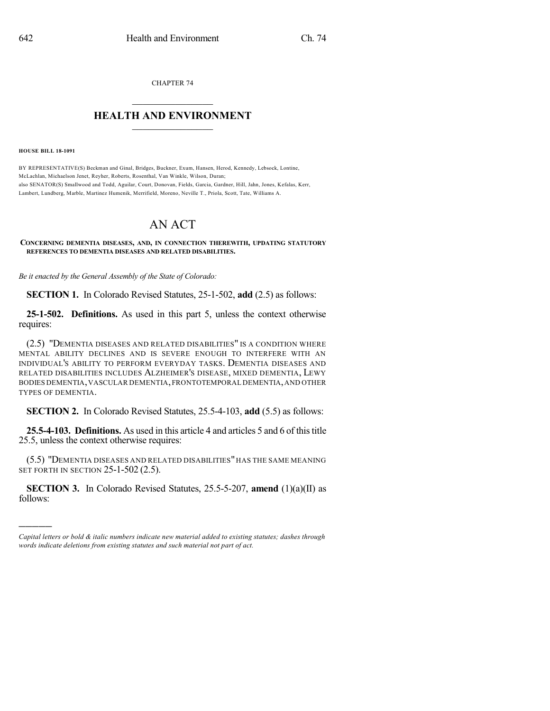CHAPTER 74

## $\overline{\phantom{a}}$  . The set of the set of the set of the set of the set of the set of the set of the set of the set of the set of the set of the set of the set of the set of the set of the set of the set of the set of the set o **HEALTH AND ENVIRONMENT**  $\_$

**HOUSE BILL 18-1091**

)))))

BY REPRESENTATIVE(S) Beckman and Ginal, Bridges, Buckner, Exum, Hansen, Herod, Kennedy, Lebsock, Lontine, McLachlan, Michaelson Jenet, Reyher, Roberts, Rosenthal, Van Winkle, Wilson, Duran; also SENATOR(S) Smallwood and Todd, Aguilar, Court, Donovan, Fields, Garcia, Gardner, Hill, Jahn, Jones, Kefalas, Kerr, Lambert, Lundberg, Marble, Martinez Humenik, Merrifield, Moreno, Neville T., Priola, Scott, Tate, Williams A.

## AN ACT

## **CONCERNING DEMENTIA DISEASES, AND, IN CONNECTION THEREWITH, UPDATING STATUTORY REFERENCES TO DEMENTIA DISEASES AND RELATED DISABILITIES.**

*Be it enacted by the General Assembly of the State of Colorado:*

**SECTION 1.** In Colorado Revised Statutes, 25-1-502, **add** (2.5) as follows:

**25-1-502. Definitions.** As used in this part 5, unless the context otherwise requires:

(2.5) "DEMENTIA DISEASES AND RELATED DISABILITIES" IS A CONDITION WHERE MENTAL ABILITY DECLINES AND IS SEVERE ENOUGH TO INTERFERE WITH AN INDIVIDUAL'S ABILITY TO PERFORM EVERYDAY TASKS. DEMENTIA DISEASES AND RELATED DISABILITIES INCLUDES ALZHEIMER'S DISEASE, MIXED DEMENTIA, LEWY BODIES DEMENTIA,VASCULAR DEMENTIA,FRONTOTEMPORAL DEMENTIA,AND OTHER TYPES OF DEMENTIA.

**SECTION 2.** In Colorado Revised Statutes, 25.5-4-103, **add** (5.5) as follows:

**25.5-4-103. Definitions.** As used in this article 4 and articles 5 and 6 of this title 25.5, unless the context otherwise requires:

(5.5) "DEMENTIA DISEASES AND RELATED DISABILITIES" HAS THE SAME MEANING SET FORTH IN SECTION 25-1-502 (2.5).

**SECTION 3.** In Colorado Revised Statutes, 25.5-5-207, **amend** (1)(a)(II) as follows:

*Capital letters or bold & italic numbers indicate new material added to existing statutes; dashes through words indicate deletions from existing statutes and such material not part of act.*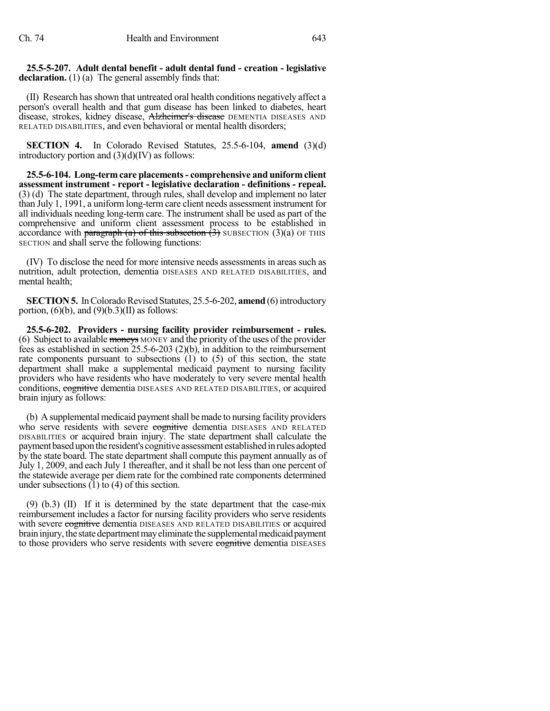**25.5-5-207. Adult dental benefit - adult dental fund - creation - legislative** declaration. (1) (a) The general assembly finds that:

(II) Research hasshown that untreated oral health conditions negatively affect a person's overall health and that gum disease has been linked to diabetes, heart disease, strokes, kidney disease, Alzheimer's disease DEMENTIA DISEASES AND RELATED DISABILITIES, and even behavioral or mental health disorders;

**SECTION 4.** In Colorado Revised Statutes, 25.5-6-104, **amend** (3)(d) introductory portion and (3)(d)(IV) as follows:

**25.5-6-104. Long-termcare placements- comprehensive and uniformclient assessment instrument - report - legislative declaration - definitions - repeal.** (3) (d) The state department, through rules, shall develop and implement no later than July 1, 1991, a uniform long-term care client needs assessment instrument for all individuals needing long-term care. The instrument shall be used as part of the comprehensive and uniform client assessment process to be established in accordance with paragraph (a) of this subsection  $(3)$  SUBSECTION  $(3)(a)$  OF THIS SECTION and shall serve the following functions:

(IV) To disclose the need for more intensive needs assessments in areas such as nutrition, adult protection, dementia DISEASES AND RELATED DISABILITIES, and mental health;

**SECTION 5.** In Colorado Revised Statutes, 25.5-6-202, **amend** (6) introductory portion,  $(6)(b)$ , and  $(9)(b.3)(II)$  as follows:

**25.5-6-202. Providers - nursing facility provider reimbursement - rules.** (6) Subject to available moneys MONEY and the priority of the uses of the provider fees as established in section 25.5-6-203 (2)(b), in addition to the reimbursement rate components pursuant to subsections  $(1)$  to  $(5)$  of this section, the state department shall make a supplemental medicaid payment to nursing facility providers who have residents who have moderately to very severe mental health conditions, cognitive dementia DISEASES AND RELATED DISABILITIES, or acquired brain injury as follows:

(b) A supplemental medicaid payment shall be made to nursing facility providers who serve residents with severe cognitive dementia DISEASES AND RELATED DISABILITIES or acquired brain injury. The state department shall calculate the payment based upon the resident's cognitive assessment established in rules adopted by the state board. The state department shall compute this payment annually as of July 1, 2009, and each July 1 thereafter, and it shall be not less than one percent of the statewide average per diem rate for the combined rate components determined under subsections  $(1)$  to  $(4)$  of this section.

(9) (b.3) (II) If it is determined by the state department that the case-mix reimbursement includes a factor for nursing facility providers who serve residents with severe cognitive dementia DISEASES AND RELATED DISABILITIES or acquired brain injury, the state department may eliminate the supplemental medicaid payment to those providers who serve residents with severe cognitive dementia DISEASES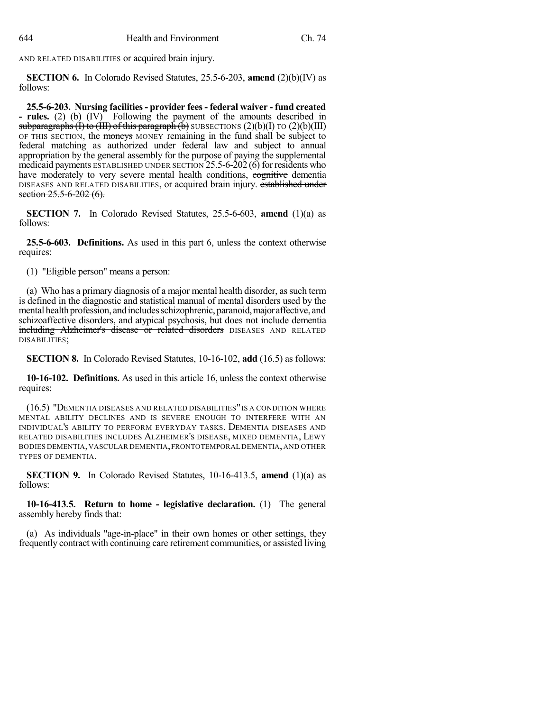AND RELATED DISABILITIES or acquired brain injury.

**SECTION 6.** In Colorado Revised Statutes, 25.5-6-203, **amend** (2)(b)(IV) as follows:

**25.5-6-203. Nursing facilities- provider fees - federal waiver - fund created - rules.** (2) (b) (IV) Following the payment of the amounts described in subparagraphs (I) to (III) of this paragraph (b) SUBSECTIONS (2)(b)(I) TO (2)(b)(III) OF THIS SECTION, the moneys MONEY remaining in the fund shall be subject to federal matching as authorized under federal law and subject to annual appropriation by the general assembly for the purpose of paying the supplemental medicaid payments ESTABLISHED UNDER SECTION  $25.5-6-202(6)$  for residents who have moderately to very severe mental health conditions, exercitive dementia DISEASES AND RELATED DISABILITIES, or acquired brain injury. established under section  $25.5 - 6 - 202$  (6).

**SECTION 7.** In Colorado Revised Statutes, 25.5-6-603, **amend** (1)(a) as follows:

**25.5-6-603. Definitions.** As used in this part 6, unless the context otherwise requires:

(1) "Eligible person" means a person:

(a) Who has a primary diagnosis of a major mental health disorder, assuch term is defined in the diagnostic and statistical manual of mental disorders used by the mental health profession, and includes schizophrenic, paranoid, major affective, and schizoaffective disorders, and atypical psychosis, but does not include dementia including Alzheimer's disease or related disorders DISEASES AND RELATED DISABILITIES;

**SECTION 8.** In Colorado Revised Statutes, 10-16-102, **add** (16.5) as follows:

**10-16-102. Definitions.** As used in this article 16, unless the context otherwise requires:

(16.5) "DEMENTIA DISEASES AND RELATED DISABILITIES" IS A CONDITION WHERE MENTAL ABILITY DECLINES AND IS SEVERE ENOUGH TO INTERFERE WITH AN INDIVIDUAL'S ABILITY TO PERFORM EVERYDAY TASKS. DEMENTIA DISEASES AND RELATED DISABILITIES INCLUDES ALZHEIMER'S DISEASE, MIXED DEMENTIA, LEWY BODIES DEMENTIA,VASCULAR DEMENTIA,FRONTOTEMPORAL DEMENTIA,AND OTHER TYPES OF DEMENTIA.

**SECTION** 9. In Colorado Revised Statutes, 10-16-413.5, **amend** (1)(a) as follows:

**10-16-413.5. Return to home - legislative declaration.** (1) The general assembly hereby finds that:

(a) As individuals "age-in-place" in their own homes or other settings, they frequently contract with continuing care retirement communities, or assisted living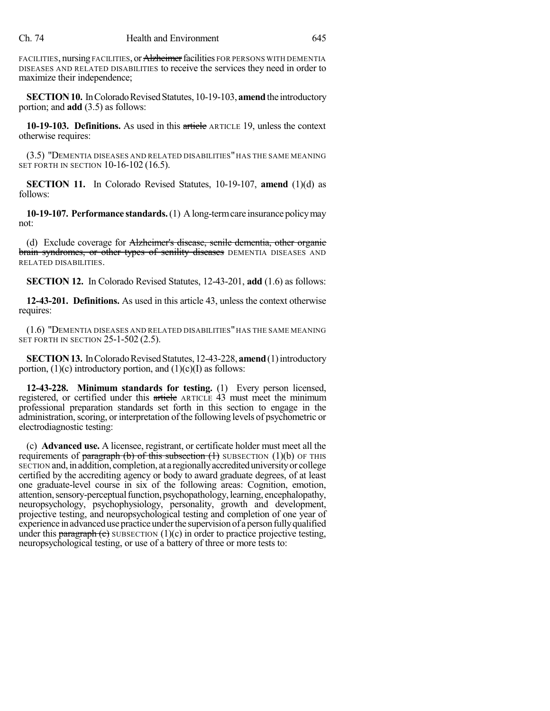FACILITIES, nursing FACILITIES, or Alzheimer facilities FOR PERSONS WITH DEMENTIA DISEASES AND RELATED DISABILITIES to receive the services they need in order to maximize their independence;

**SECTION 10.** In Colorado Revised Statutes, 10-19-103, **amend** the introductory portion; and **add** (3.5) as follows:

**10-19-103. Definitions.** As used in this article ARTICLE 19, unless the context otherwise requires:

(3.5) "DEMENTIA DISEASES AND RELATED DISABILITIES" HAS THE SAME MEANING SET FORTH IN SECTION 10-16-102 (16.5).

**SECTION 11.** In Colorado Revised Statutes, 10-19-107, **amend** (1)(d) as follows:

**10-19-107. Performance standards.**(1) Along-termcare insurance policymay not:

(d) Exclude coverage for Alzheimer's disease, senile dementia, other organic brain syndromes, or other types of senility diseases DEMENTIA DISEASES AND RELATED DISABILITIES.

**SECTION 12.** In Colorado Revised Statutes, 12-43-201, **add** (1.6) as follows:

**12-43-201. Definitions.** As used in this article 43, unless the context otherwise requires:

(1.6) "DEMENTIA DISEASES AND RELATED DISABILITIES" HAS THE SAME MEANING SET FORTH IN SECTION 25-1-502 (2.5).

**SECTION 13.** In Colorado Revised Statutes, 12-43-228, **amend** (1) introductory portion,  $(1)(c)$  introductory portion, and  $(1)(c)(I)$  as follows:

**12-43-228. Minimum standards for testing.** (1) Every person licensed, registered, or certified under this article ARTICLE 43 must meet the minimum professional preparation standards set forth in this section to engage in the administration, scoring, or interpretation of the following levels of psychometric or electrodiagnostic testing:

(c) **Advanced use.** A licensee, registrant, or certificate holder must meet all the requirements of paragraph (b) of this subsection  $(1)$  SUBSECTION  $(1)(b)$  OF THIS SECTION and,inaddition, completion, at a regionallyaccrediteduniversityor college certified by the accrediting agency or body to award graduate degrees, of at least one graduate-level course in six of the following areas: Cognition, emotion, attention,sensory-perceptualfunction, psychopathology,learning, encephalopathy, neuropsychology, psychophysiology, personality, growth and development, projective testing, and neuropsychological testing and completion of one year of experience in advanced use practice under the supervision of a person fully qualified under this paragraph (c) SUBSECTION  $(1)(c)$  in order to practice projective testing, neuropsychological testing, or use of a battery of three or more tests to: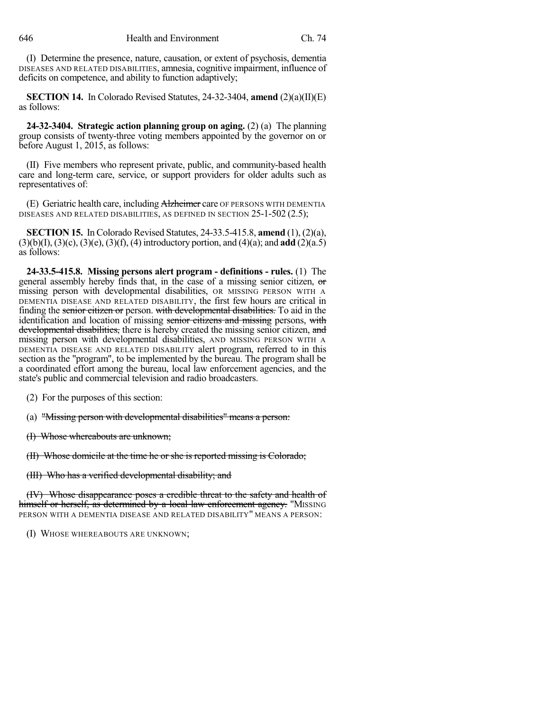(I) Determine the presence, nature, causation, or extent of psychosis, dementia DISEASES AND RELATED DISABILITIES, amnesia, cognitive impairment, influence of deficits on competence, and ability to function adaptively;

**SECTION 14.** In Colorado Revised Statutes, 24-32-3404, **amend** (2)(a)(II)(E) as follows:

**24-32-3404. Strategic action planning group on aging.** (2) (a) The planning group consists of twenty-three voting members appointed by the governor on or before August 1, 2015, as follows:

(II) Five members who represent private, public, and community-based health care and long-term care, service, or support providers for older adults such as representatives of:

(E) Geriatric health care, including Alzheimer care OF PERSONS WITH DEMENTIA DISEASES AND RELATED DISABILITIES, AS DEFINED IN SECTION 25-1-502 (2.5);

**SECTION 15.** In Colorado Revised Statutes, 24-33.5-415.8, **amend** (1), (2)(a), (3)(b)(I), (3)(c), (3)(e), (3)(f), (4) introductory portion, and (4)(a); and **add** (2)(a.5) as follows:

**24-33.5-415.8. Missing persons alert program - definitions - rules.** (1) The general assembly hereby finds that, in the case of a missing senior citizen, or missing person with developmental disabilities, OR MISSING PERSON WITH A DEMENTIA DISEASE AND RELATED DISABILITY, the first few hours are critical in finding the senior citizen or person. with developmental disabilities. To aid in the identification and location of missing senior citizens and missing persons, with developmental disabilities, there is hereby created the missing senior citizen, and missing person with developmental disabilities, AND MISSING PERSON WITH A DEMENTIA DISEASE AND RELATED DISABILITY alert program, referred to in this section as the "program", to be implemented by the bureau. The program shall be a coordinated effort among the bureau, local law enforcement agencies, and the state's public and commercial television and radio broadcasters.

(2) For the purposes of this section:

(a) "Missing person with developmental disabilities" means a person:

(I) Whose whereabouts are unknown;

(II) Whose domicile at the time he or she is reported missing is Colorado;

(III) Who has a verified developmental disability; and

(IV) Whose disappearance poses a credible threat to the safety and health of himself or herself, as determined by a local law enforcement agency. "MISSING PERSON WITH A DEMENTIA DISEASE AND RELATED DISABILITY" MEANS A PERSON:

(I) WHOSE WHEREABOUTS ARE UNKNOWN;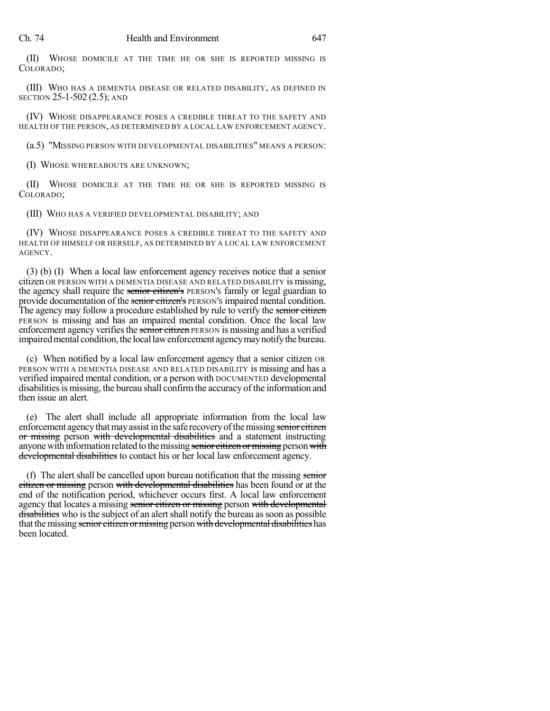(II) WHOSE DOMICILE AT THE TIME HE OR SHE IS REPORTED MISSING IS COLORADO;

(III) WHO HAS A DEMENTIA DISEASE OR RELATED DISABILITY, AS DEFINED IN SECTION 25-1-502 (2.5); AND

(IV) WHOSE DISAPPEARANCE POSES A CREDIBLE THREAT TO THE SAFETY AND HEALTH OF THE PERSON, AS DETERMINED BY A LOCAL LAW ENFORCEMENT AGENCY.

(a.5) "MISSING PERSON WITH DEVELOPMENTAL DISABILITIES" MEANS A PERSON:

(I) WHOSE WHEREABOUTS ARE UNKNOWN;

(II) WHOSE DOMICILE AT THE TIME HE OR SHE IS REPORTED MISSING IS COLORADO;

(III) WHO HAS A VERIFIED DEVELOPMENTAL DISABILITY; AND

(IV) WHOSE DISAPPEARANCE POSES A CREDIBLE THREAT TO THE SAFETY AND HEALTH OF HIMSELF OR HERSELF, AS DETERMINED BY A LOCAL LAW ENFORCEMENT AGENCY.

(3) (b) (I) When a local law enforcement agency receives notice that a senior citizen OR PERSON WITH A DEMENTIA DISEASE AND RELATED DISABILITY is missing, the agency shall require the senior citizen's PERSON's family or legal guardian to provide documentation of the senior citizen's PERSON's impaired mental condition. The agency may follow a procedure established by rule to verify the senior citizen PERSON is missing and has an impaired mental condition. Once the local law enforcement agency verifies the senior citizen PERSON is missing and has a verified impaired mental condition, the local law enforcement agency may notify the bureau.

(c) When notified by a local law enforcement agency that a senior citizen OR PERSON WITH A DEMENTIA DISEASE AND RELATED DISABILITY is missing and has a verified impaired mental condition, or a person with DOCUMENTED developmental disabilities is missing, the bureau shall confirm the accuracy of the information and then issue an alert.

(e) The alert shall include all appropriate information from the local law enforcement agency that may assist in the safe recovery of the missing senior citizen or missing person with developmental disabilities and a statement instructing anyone with information related to the missing senior citizen or missing person with developmental disabilities to contact his or her local law enforcement agency.

(f) The alert shall be cancelled upon bureau notification that the missing senior citizen or missing person with developmental disabilities has been found or at the end of the notification period, whichever occurs first. A local law enforcement agency that locates a missing senior citizen or missing person with developmental disabilities who is the subject of an alert shall notify the bureau as soon as possible that the missing senior citizen or missing person with developmental disabilities has been located.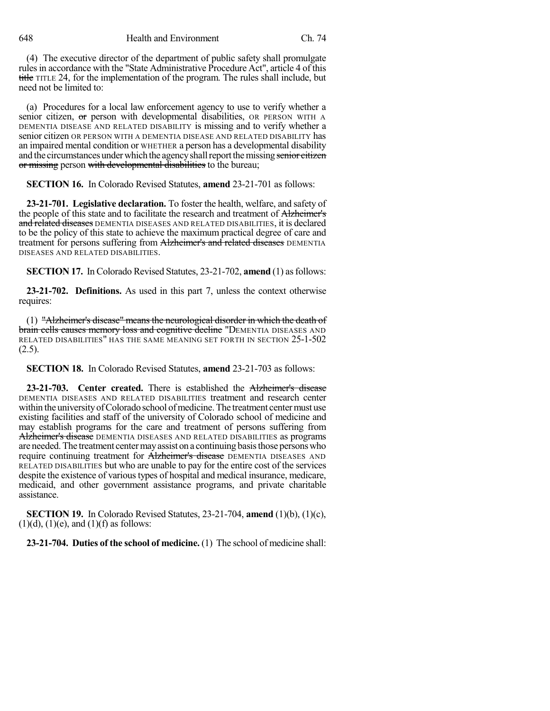648 Health and Environment Ch. 74

(4) The executive director of the department of public safety shall promulgate rulesin accordance with the "State Administrative Procedure Act", article 4 of this title TITLE 24, for the implementation of the program. The rules shall include, but need not be limited to:

(a) Procedures for a local law enforcement agency to use to verify whether a senior citizen, or person with developmental disabilities, OR PERSON WITH A DEMENTIA DISEASE AND RELATED DISABILITY is missing and to verify whether a senior citizen OR PERSON WITH A DEMENTIA DISEASE AND RELATED DISABILITY has an impaired mental condition or WHETHER a person has a developmental disability and the circumstances under which the agency shall report the missing senior citizen or missing person with developmental disabilities to the bureau;

**SECTION 16.** In Colorado Revised Statutes, **amend** 23-21-701 as follows:

**23-21-701. Legislative declaration.** To foster the health, welfare, and safety of the people of this state and to facilitate the research and treatment of Alzheimer's and related diseases DEMENTIA DISEASES AND RELATED DISABILITIES, it is declared to be the policy of this state to achieve the maximum practical degree of care and treatment for persons suffering from Alzheimer's and related diseases DEMENTIA DISEASES AND RELATED DISABILITIES.

**SECTION 17.** In Colorado Revised Statutes, 23-21-702, **amend** (1) as follows:

**23-21-702. Definitions.** As used in this part 7, unless the context otherwise requires:

(1) "Alzheimer's disease" means the neurological disorder in which the death of brain cells causes memory loss and cognitive decline "DEMENTIA DISEASES AND RELATED DISABILITIES" HAS THE SAME MEANING SET FORTH IN SECTION 25-1-502  $(2.5)$ .

**SECTION 18.** In Colorado Revised Statutes, **amend** 23-21-703 as follows:

**23-21-703. Center created.** There is established the Alzheimer's disease DEMENTIA DISEASES AND RELATED DISABILITIES treatment and research center within the university of Colorado school of medicine. The treatment center must use existing facilities and staff of the university of Colorado school of medicine and may establish programs for the care and treatment of persons suffering from Alzheimer's disease DEMENTIA DISEASES AND RELATED DISABILITIES as programs are needed.The treatment centermayassist on a continuing basisthose personswho require continuing treatment for **Alzheimer's disease** DEMENTIA DISEASES AND RELATED DISABILITIES but who are unable to pay for the entire cost of the services despite the existence of varioustypes of hospital and medical insurance, medicare, medicaid, and other government assistance programs, and private charitable assistance.

**SECTION 19.** In Colorado Revised Statutes, 23-21-704, **amend** (1)(b), (1)(c),  $(1)(d)$ ,  $(1)(e)$ , and  $(1)(f)$  as follows:

**23-21-704. Duties of the school of medicine.** (1) The school of medicine shall: